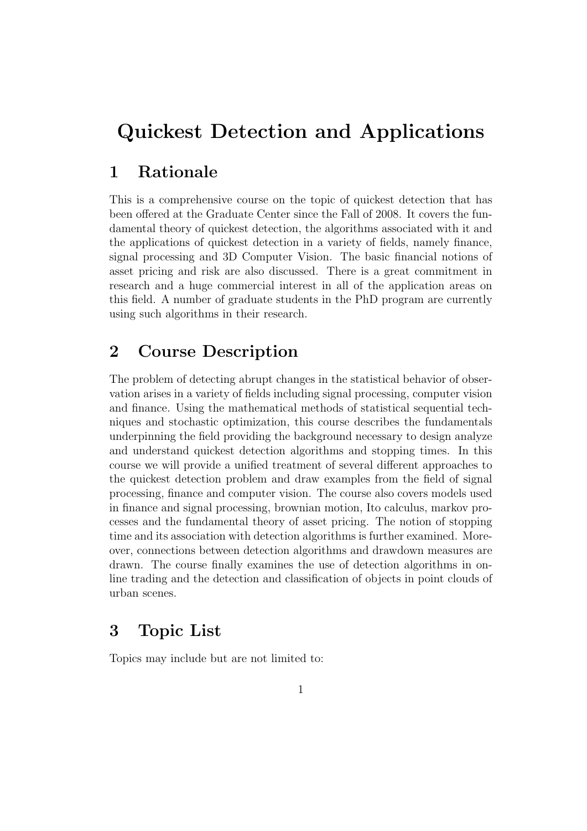# Quickest Detection and Applications

### 1 Rationale

This is a comprehensive course on the topic of quickest detection that has been offered at the Graduate Center since the Fall of 2008. It covers the fundamental theory of quickest detection, the algorithms associated with it and the applications of quickest detection in a variety of fields, namely finance, signal processing and 3D Computer Vision. The basic financial notions of asset pricing and risk are also discussed. There is a great commitment in research and a huge commercial interest in all of the application areas on this field. A number of graduate students in the PhD program are currently using such algorithms in their research.

#### 2 Course Description

The problem of detecting abrupt changes in the statistical behavior of observation arises in a variety of fields including signal processing, computer vision and finance. Using the mathematical methods of statistical sequential techniques and stochastic optimization, this course describes the fundamentals underpinning the field providing the background necessary to design analyze and understand quickest detection algorithms and stopping times. In this course we will provide a unified treatment of several different approaches to the quickest detection problem and draw examples from the field of signal processing, finance and computer vision. The course also covers models used in finance and signal processing, brownian motion, Ito calculus, markov processes and the fundamental theory of asset pricing. The notion of stopping time and its association with detection algorithms is further examined. Moreover, connections between detection algorithms and drawdown measures are drawn. The course finally examines the use of detection algorithms in online trading and the detection and classification of objects in point clouds of urban scenes.

#### 3 Topic List

Topics may include but are not limited to: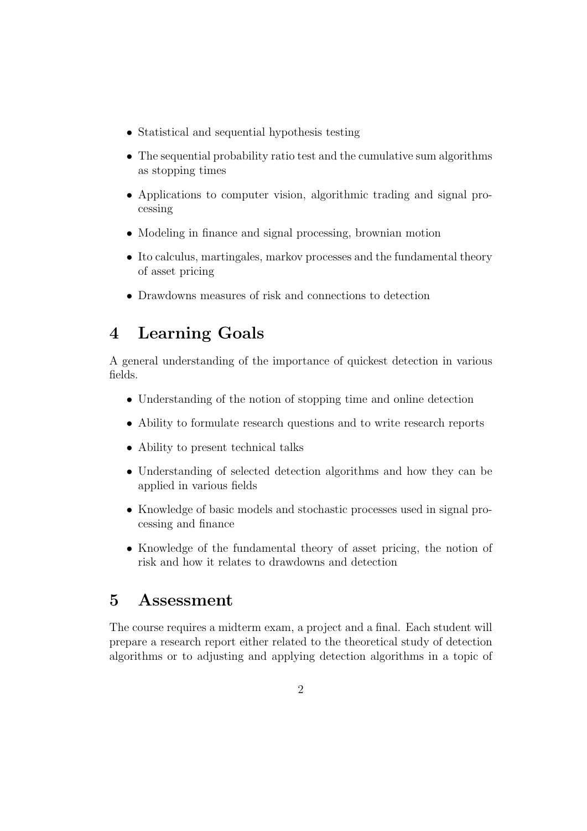- Statistical and sequential hypothesis testing
- The sequential probability ratio test and the cumulative sum algorithms as stopping times
- Applications to computer vision, algorithmic trading and signal processing
- Modeling in finance and signal processing, brownian motion
- Ito calculus, martingales, markov processes and the fundamental theory of asset pricing
- Drawdowns measures of risk and connections to detection

## 4 Learning Goals

A general understanding of the importance of quickest detection in various fields.

- Understanding of the notion of stopping time and online detection
- Ability to formulate research questions and to write research reports
- Ability to present technical talks
- Understanding of selected detection algorithms and how they can be applied in various fields
- Knowledge of basic models and stochastic processes used in signal processing and finance
- Knowledge of the fundamental theory of asset pricing, the notion of risk and how it relates to drawdowns and detection

#### 5 Assessment

The course requires a midterm exam, a project and a final. Each student will prepare a research report either related to the theoretical study of detection algorithms or to adjusting and applying detection algorithms in a topic of